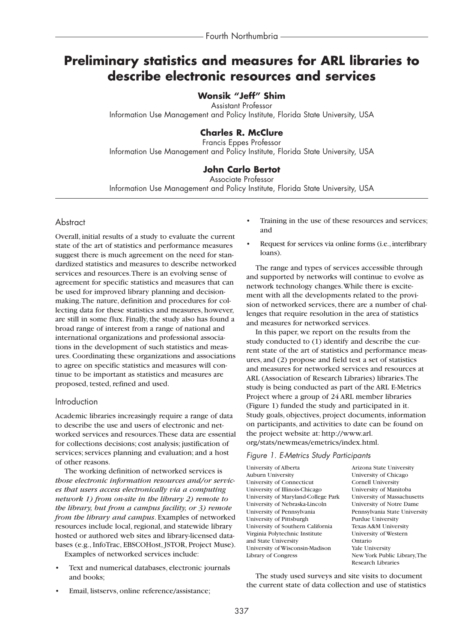# **Preliminary statistics and measures for ARL libraries to describe electronic resources and services**

# **Wonsik "Jeff" Shim**

Assistant Professor Information Use Management and Policy Institute, Florida State University, USA

# **Charles R. McClure**

Francis Eppes Professor Information Use Management and Policy Institute, Florida State University, USA

# **John Carlo Bertot**

Associate Professor Information Use Management and Policy Institute, Florida State University, USA

## **Abstract**

Overall, initial results of a study to evaluate the current state of the art of statistics and performance measures suggest there is much agreement on the need for standardized statistics and measures to describe networked services and resources.There is an evolving sense of agreement for specific statistics and measures that can be used for improved library planning and decisionmaking.The nature, definition and procedures for collecting data for these statistics and measures, however, are still in some flux. Finally, the study also has found a broad range of interest from a range of national and international organizations and professional associations in the development of such statistics and measures. Coordinating these organizations and associations to agree on specific statistics and measures will continue to be important as statistics and measures are proposed, tested, refined and used.

### Introduction

Academic libraries increasingly require a range of data to describe the use and users of electronic and networked services and resources.These data are essential for collections decisions; cost analysis; justification of services; services planning and evaluation; and a host of other reasons.

The working definition of networked services is *those electronic information resources and/or services that users access electronically via a computing network 1) from on-site in the library 2) remote to the library, but from a campus facility, or 3) remote from the library and campus*. Examples of networked resources include local, regional, and statewide library hosted or authored web sites and library-licensed databases (e.g., InfoTrac, EBSCOHost, JSTOR, Project Muse).

Examples of networked services include:

- Text and numerical databases, electronic journals and books;
- Email, listservs, online reference/assistance;
- Training in the use of these resources and services; and
- Request for services via online forms (i.e., interlibrary loans).

The range and types of services accessible through and supported by networks will continue to evolve as network technology changes.While there is excitement with all the developments related to the provision of networked services, there are a number of challenges that require resolution in the area of statistics and measures for networked services.

In this paper, we report on the results from the study conducted to (1) identify and describe the current state of the art of statistics and performance measures, and (2) propose and field test a set of statistics and measures for networked services and resources at ARL (Association of Research Libraries) libraries.The study is being conducted as part of the ARL E-Metrics Project where a group of 24 ARL member libraries (Figure 1) funded the study and participated in it. Study goals, objectives, project documents, information on participants, and activities to date can be found on the project website at: http://www.arl. org/stats/newmeas/emetrics/index.html.

### *Figure 1. E-Metrics Study Participants*

University of Alberta Arizona State University Auburn University University of Chicago University of Connecticut Cornell University University of Illinois-Chicago University of Manitoba<br>University of Maryland-College Park University of Massachusetts University of Maryland-College Park University of Nebraska-Lincoln University of Notre Dame University of Pennsylvania Pennsylvania State University University of Pittsburgh Purdue University University of Southern California Texas A&M University Virginia Polytechnic Institute University of Western and State University<br>
University of Wisconsin-Madison<br>
Yale University University of Wisconsin-Madison Library of Congress New York Public Library,The

Research Libraries

The study used surveys and site visits to document the current state of data collection and use of statistics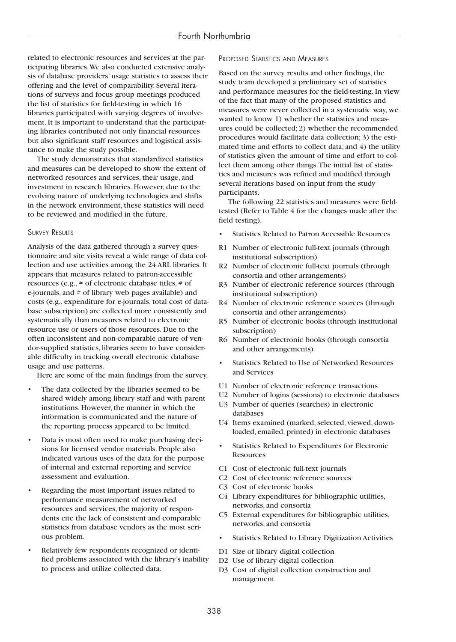related to electronic resources and services at the participating libraries.We also conducted extensive analysis of database providers' usage statistics to assess their offering and the level of comparability. Several iterations of surveys and focus group meetings produced the list of statistics for field-testing in which 16 libraries participated with varying degrees of involvement. It is important to understand that the participating libraries contributed not only financial resources but also significant staff resources and logistical assistance to make the study possible.

The study demonstrates that standardized statistics and measures can be developed to show the extent of networked resources and services, their usage, and investment in research libraries. However, due to the evolving nature of underlying technologies and shifts in the network environment, these statistics will need to be reviewed and modified in the future.

#### SURVEY RESULTS

Analysis of the data gathered through a survey questionnaire and site visits reveal a wide range of data collection and use activities among the 24 ARL libraries. It appears that measures related to patron-accessible resources (e.g., # of electronic database titles, # of e-journals, and # of library web pages available) and costs (e.g., expenditure for e-journals, total cost of database subscription) are collected more consistently and systematically than measures related to electronic resource use or users of those resources. Due to the often inconsistent and non-comparable nature of vendor-supplied statistics, libraries seem to have considerable difficulty in tracking overall electronic database usage and use patterns.

Here are some of the main findings from the survey.

- The data collected by the libraries seemed to be shared widely among library staff and with parent institutions. However, the manner in which the information is communicated and the nature of the reporting process appeared to be limited.
- Data is most often used to make purchasing decisions for licensed vendor materials. People also indicated various uses of the data for the purpose of internal and external reporting and service assessment and evaluation.
- Regarding the most important issues related to performance measurement of networked resources and services, the majority of respondents cite the lack of consistent and comparable statistics from database vendors as the most serious problem.
- Relatively few respondents recognized or identified problems associated with the library's inability to process and utilize collected data.

### PROPOSED STATISTICS AND MEASURES

Based on the survey results and other findings, the study team developed a preliminary set of statistics and performance measures for the field-testing. In view of the fact that many of the proposed statistics and measures were never collected in a systematic way, we wanted to know 1) whether the statistics and measures could be collected; 2) whether the recommended procedures would facilitate data collection; 3) the estimated time and efforts to collect data; and 4) the utility of statistics given the amount of time and effort to collect them among other things.The initial list of statistics and measures was refined and modified through several iterations based on input from the study participants.

The following 22 statistics and measures were fieldtested (Refer to Table 4 for the changes made after the field testing).

- Statistics Related to Patron Accessible Resources
- R1 Number of electronic full-text journals (through institutional subscription)
- R2 Number of electronic full-text journals (through consortia and other arrangements)
- R3 Number of electronic reference sources (through institutional subscription)
- R4 Number of electronic reference sources (through consortia and other arrangements)
- R5 Number of electronic books (through institutional subscription)
- R6 Number of electronic books (through consortia and other arrangements)
- Statistics Related to Use of Networked Resources and Services
- U1 Number of electronic reference transactions
- U2 Number of logins (sessions) to electronic databases
- U3 Number of queries (searches) in electronic databases
- U4 Items examined (marked, selected, viewed, downloaded, emailed, printed) in electronic databases
- Statistics Related to Expenditures for Electronic **Resources**
- C1 Cost of electronic full-text journals
- C2 Cost of electronic reference sources
- C3 Cost of electronic books
- C4 Library expenditures for bibliographic utilities, networks, and consortia
- C5 External expenditures for bibliographic utilities, networks, and consortia
- Statistics Related to Library Digitization Activities
- D1 Size of library digital collection
- D2 Use of library digital collection
- D3 Cost of digital collection construction and management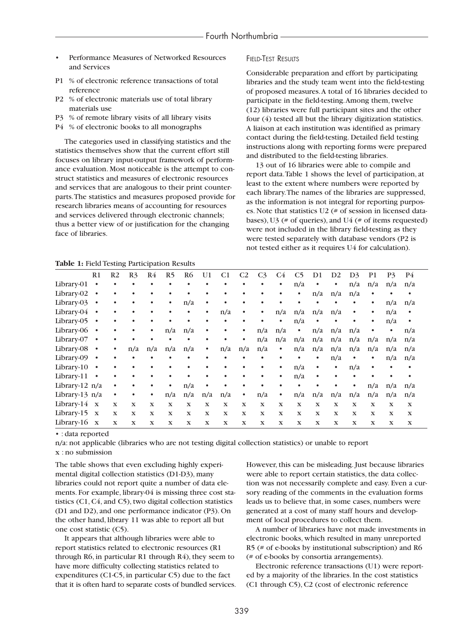- Performance Measures of Networked Resources and Services
- P1 % of electronic reference transactions of total reference
- P2 % of electronic materials use of total library materials use
- P3 % of remote library visits of all library visits
- P4 % of electronic books to all monographs

The categories used in classifying statistics and the statistics themselves show that the current effort still focuses on library input-output framework of performance evaluation. Most noticeable is the attempt to construct statistics and measures of electronic resources and services that are analogous to their print counterparts.The statistics and measures proposed provide for research libraries means of accounting for resources and services delivered through electronic channels; thus a better view of or justification for the changing face of libraries.

### FIELD-TEST RESULTS

Considerable preparation and effort by participating libraries and the study team went into the field-testing of proposed measures.A total of 16 libraries decided to participate in the field-testing.Among them, twelve (12) libraries were full participant sites and the other four (4) tested all but the library digitization statistics. A liaison at each institution was identified as primary contact during the field-testing. Detailed field testing instructions along with reporting forms were prepared and distributed to the field-testing libraries.

13 out of 16 libraries were able to compile and report data.Table 1 shows the level of participation, at least to the extent where numbers were reported by each library.The names of the libraries are suppressed, as the information is not integral for reporting purposes. Note that statistics U2 (# of session in licensed databases), U3 ( $#$  of queries), and U4 ( $#$  of items requested) were not included in the library field-testing as they were tested separately with database vendors (P2 is not tested either as it requires U4 for calculation).

|  |  |  | Table 1: Field Testing Participation Results |  |  |  |
|--|--|--|----------------------------------------------|--|--|--|
|--|--|--|----------------------------------------------|--|--|--|

| <b>TWOTE 1.</b> THERE TOOLING 1 RELEIPMENT |              |                |                |             |                |                |             |             |                |                |             |                |              |             |                |                |             |             |  |
|--------------------------------------------|--------------|----------------|----------------|-------------|----------------|----------------|-------------|-------------|----------------|----------------|-------------|----------------|--------------|-------------|----------------|----------------|-------------|-------------|--|
|                                            | R1           | R <sub>2</sub> | R <sub>3</sub> | R4          | R <sub>5</sub> | R <sub>6</sub> | U1          | C1          | C <sub>2</sub> | C <sub>3</sub> | C4          | C <sub>5</sub> | D1           | D2          | D <sub>3</sub> | P <sub>1</sub> | <b>P</b> 3  | P4          |  |
| Library-01                                 |              |                |                | ٠           |                | ٠              |             | $\bullet$   | ٠              | ٠              | $\bullet$   | n/a            | ٠            | ٠           | n/a            | n/a            | n/a         | n/a         |  |
| Library-02                                 | $\bullet$    |                |                | ٠           | ٠              |                |             | ٠           |                |                | ٠           | ٠              | n/a          | n/a         | n/a            | ٠              |             | $\bullet$   |  |
| Library-03                                 | $\bullet$    |                |                | ٠           | ٠              | n/a            | ٠           | ٠           |                |                | $\bullet$   |                |              |             |                | ٠              | n/a         | n/a         |  |
| Library-04 ·                               |              |                |                |             |                | ٠              | $\bullet$   | n/a         | ٠              |                | n/a         | n/a            | n/a          | n/a         | $\bullet$      | $\bullet$      | n/a         | $\bullet$   |  |
| Library-05                                 | $\bullet$    |                |                |             |                |                |             | $\bullet$   | ٠              |                | $\bullet$   | n/a            | ٠            | ٠           | $\bullet$      | $\bullet$      | n/a         | $\bullet$   |  |
| Library-06 ·                               |              |                |                | $\bullet$   | n/a            | n/a            |             | $\bullet$   | $\bullet$      | n/a            | n/a         | $\bullet$      | n/a          | n/a         | n/a            | $\bullet$      | $\bullet$   | n/a         |  |
| Library-07 .                               |              |                |                |             |                | ٠              |             |             | ٠              | n/a            | n/a         | n/a            | n/a          | n/a         | n/a            | n/a            | n/a         | n/a         |  |
| Library-08                                 | $\bullet$    | ٠              | n/a            | n/a         | n/a            | n/a            | $\bullet$   | n/a         | n/a            | n/a            | $\bullet$   | n/a            | n/a          | n/a         | n/a            | n/a            | n/a         | n/a         |  |
| Library-09 .                               |              | ٠              |                | ٠           |                | ٠              |             | ٠           |                |                | ٠           | ٠              | ٠            | n/a         | $\bullet$      | ٠              | n/a         | n/a         |  |
| Library-10                                 | $\bullet$    |                |                | ٠           |                |                |             | ٠           |                |                | $\bullet$   | n/a            | ٠            | $\bullet$   | n/a            | $\bullet$      |             | $\bullet$   |  |
| Library-11                                 | $\bullet$    |                |                | ٠           |                |                |             |             |                |                | $\bullet$   | n/a            |              | $\bullet$   |                |                |             |             |  |
| Library-12 n/a                             |              | $\bullet$      |                |             | $\bullet$      | n/a            |             |             |                |                | $\bullet$   |                |              |             | $\bullet$      | n/a            | n/a         | n/a         |  |
| Library-13 n/a                             |              | $\bullet$      |                | ٠           | n/a            | n/a            | n/a         | n/a         | $\bullet$      | n/a            | $\bullet$   | n/a            | n/a          | n/a         | n/a            | n/a            | n/a         | n/a         |  |
| Library-14 x                               |              | $\mathbf X$    | $\mathbf X$    | $\mathbf x$ | $\mathbf x$    | $\mathbf X$    | $\mathbf x$ | $\mathbf X$ | $\mathbf x$    | $\mathbf X$    | $\mathbf x$ | $\mathbf x$    | $\mathbf{x}$ | $\mathbf x$ | $\mathbf x$    | $\mathbf x$    | $\mathbf x$ | $\mathbf X$ |  |
| Library-15 $x$                             |              | $\mathbf X$    | $\mathbf X$    | $\mathbf x$ | $\mathbf x$    | $\mathbf X$    | $\mathbf X$ | $\mathbf X$ | $\mathbf x$    | $\mathbf x$    | $\mathbf x$ | $\mathbf x$    | $\mathbf X$  | $\mathbf X$ | $\mathbf x$    | $\mathbf x$    | $\mathbf X$ | $\mathbf X$ |  |
| Library-16                                 | $\mathbf{X}$ | $\mathbf X$    | $\mathbf X$    | $\mathbf x$ | $\mathbf x$    | $\mathbf X$    | $\mathbf x$ | $\mathbf x$ | $\mathbf x$    | $\mathbf x$    | $\mathbf X$ | $\mathbf X$    | $\mathbf x$  | $\mathbf X$ | $\mathbf x$    | $\mathbf x$    | $\mathbf X$ | $\mathbf X$ |  |

• : data reported

n/a: not applicable (libraries who are not testing digital collection statistics) or unable to report x : no submission

The table shows that even excluding highly experimental digital collection statistics (D1-D3), many libraries could not report quite a number of data elements. For example, library-04 is missing three cost statistics (C1, C4, and C5), two digital collection statistics (D1 and D2), and one performance indicator (P3). On the other hand, library 11 was able to report all but one cost statistic (C5).

It appears that although libraries were able to report statistics related to electronic resources (R1 through R6, in particular R1 through R4), they seem to have more difficulty collecting statistics related to expenditures (C1-C5, in particular C5) due to the fact that it is often hard to separate costs of bundled services. However, this can be misleading. Just because libraries were able to report certain statistics, the data collection was not necessarily complete and easy. Even a cursory reading of the comments in the evaluation forms leads us to believe that, in some cases, numbers were generated at a cost of many staff hours and development of local procedures to collect them.

A number of libraries have not made investments in electronic books, which resulted in many unreported R5 (# of e-books by institutional subscription) and R6 (# of e-books by consortia arrangements).

Electronic reference transactions (U1) were reported by a majority of the libraries. In the cost statistics (C1 through C5), C2 (cost of electronic reference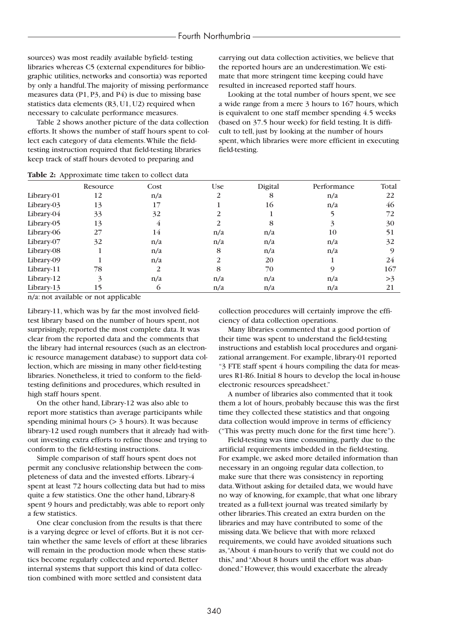sources) was most readily available byfield- testing libraries whereas C5 (external expenditures for bibliographic utilities, networks and consortia) was reported by only a handful.The majority of missing performance measures data (P1, P3, and P4) is due to missing base statistics data elements (R3, U1, U2) required when necessary to calculate performance measures.

Table 2 shows another picture of the data collection efforts. It shows the number of staff hours spent to collect each category of data elements.While the fieldtesting instruction required that field-testing libraries keep track of staff hours devoted to preparing and

carrying out data collection activities, we believe that the reported hours are an underestimation.We estimate that more stringent time keeping could have resulted in increased reported staff hours.

Looking at the total number of hours spent, we see a wide range from a mere 3 hours to 167 hours, which is equivalent to one staff member spending 4.5 weeks (based on 37.5 hour week) for field testing. It is difficult to tell, just by looking at the number of hours spent, which libraries were more efficient in executing field-testing.

|            | Resource | Cost | <b>Use</b> | Digital | Performance | Total |
|------------|----------|------|------------|---------|-------------|-------|
| Library-01 | 12       | n/a  | 2          | 8       | n/a         | 22    |
| Library-03 | 13       | 17   |            | 16      | n/a         | 46    |
| Library-04 | 33       | 32   |            |         |             | 72    |
| Library-05 | 13       | 4    |            | 8       |             | 30    |
| Library-06 | 27       | 14   | n/a        | n/a     | 10          | 51    |
| Library-07 | 32       | n/a  | n/a        | n/a     | n/a         | 32    |
| Library-08 |          | n/a  | 8          | n/a     | n/a         |       |
| Library-09 |          | n/a  | 2          | 20      |             | 24    |
| Library-11 | 78       | 2    | 8          | 70      |             | 167   |
| Library-12 | 3        | n/a  | n/a        | n/a     | n/a         | >3    |
| Library-13 | 15       | 6    | n/a        | n/a     | n/a         | 21    |

#### **Table 2:** Approximate time taken to collect data

n/a: not available or not applicable

Library-11, which was by far the most involved fieldtest library based on the number of hours spent, not surprisingly, reported the most complete data. It was clear from the reported data and the comments that the library had internal resources (such as an electronic resource management database) to support data collection, which are missing in many other field-testing libraries. Nonetheless, it tried to conform to the fieldtesting definitions and procedures, which resulted in high staff hours spent.

On the other hand, Library-12 was also able to report more statistics than average participants while spending minimal hours (> 3 hours). It was because library-12 used rough numbers that it already had without investing extra efforts to refine those and trying to conform to the field-testing instructions.

Simple comparison of staff hours spent does not permit any conclusive relationship between the completeness of data and the invested efforts. Library-4 spent at least 72 hours collecting data but had to miss quite a few statistics. One the other hand, Library-8 spent 9 hours and predictably, was able to report only a few statistics.

One clear conclusion from the results is that there is a varying degree or level of efforts. But it is not certain whether the same levels of effort at these libraries will remain in the production mode when these statistics become regularly collected and reported. Better internal systems that support this kind of data collection combined with more settled and consistent data

collection procedures will certainly improve the efficiency of data collection operations.

Many libraries commented that a good portion of their time was spent to understand the field-testing instructions and establish local procedures and organizational arrangement. For example, library-01 reported "3 FTE staff spent 4 hours compiling the data for measures R1-R6. Initial 8 hours to develop the local in-house electronic resources spreadsheet."

A number of libraries also commented that it took them a lot of hours, probably because this was the first time they collected these statistics and that ongoing data collection would improve in terms of efficiency ("This was pretty much done for the first time here").

Field-testing was time consuming, partly due to the artificial requirements imbedded in the field-testing. For example, we asked more detailed information than necessary in an ongoing regular data collection, to make sure that there was consistency in reporting data.Without asking for detailed data, we would have no way of knowing, for example, that what one library treated as a full-text journal was treated similarly by other libraries.This created an extra burden on the libraries and may have contributed to some of the missing data.We believe that with more relaxed requirements, we could have avoided situations such as,"About 4 man-hours to verify that we could not do this," and "About 8 hours until the effort was abandoned." However, this would exacerbate the already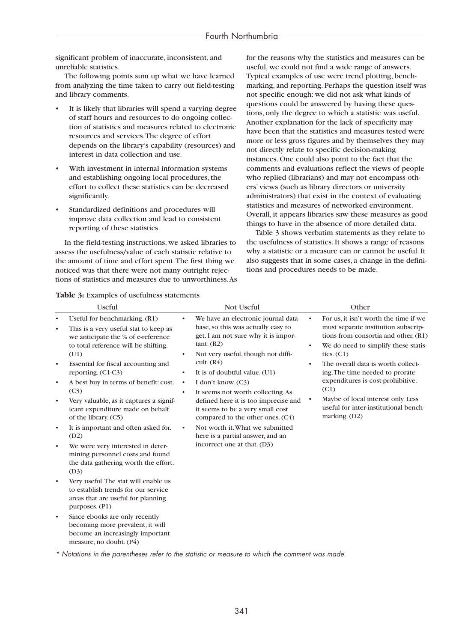significant problem of inaccurate, inconsistent, and unreliable statistics.

The following points sum up what we have learned from analyzing the time taken to carry out field-testing and library comments.

- It is likely that libraries will spend a varying degree of staff hours and resources to do ongoing collection of statistics and measures related to electronic resources and services.The degree of effort depends on the library's capability (resources) and interest in data collection and use.
- With investment in internal information systems and establishing ongoing local procedures, the effort to collect these statistics can be decreased significantly.
- Standardized definitions and procedures will improve data collection and lead to consistent reporting of these statistics.

In the field-testing instructions, we asked libraries to assess the usefulness/value of each statistic relative to the amount of time and effort spent.The first thing we noticed was that there were not many outright rejections of statistics and measures due to unworthiness.As for the reasons why the statistics and measures can be useful, we could not find a wide range of answers. Typical examples of use were trend plotting, benchmarking, and reporting. Perhaps the question itself was not specific enough: we did not ask what kinds of questions could be answered by having these questions, only the degree to which a statistic was useful. Another explanation for the lack of specificity may have been that the statistics and measures tested were more or less gross figures and by themselves they may not directly relate to specific decision-making instances. One could also point to the fact that the comments and evaluations reflect the views of people who replied (librarians) and may not encompass others' views (such as library directors or university administrators) that exist in the context of evaluating statistics and measures of networked environment. Overall, it appears libraries saw these measures as good things to have in the absence of more detailed data.

Table 3 shows verbatim statements as they relate to the usefulness of statistics. It shows a range of reasons why a statistic or a measure can or cannot be useful. It also suggests that in some cases, a change in the definitions and procedures needs to be made.

### **Table 3:** Examples of usefulness statements

|                                                               | <b>Useful</b>                                                                                                                                                                                                                                                                                                                                                                                    | Not Useful                                                                                                                                                                                                                                                                                                                                                                                                                             | Other                                                                                                                                                                                                                                                                                                                                                                                                                                  |  |  |
|---------------------------------------------------------------|--------------------------------------------------------------------------------------------------------------------------------------------------------------------------------------------------------------------------------------------------------------------------------------------------------------------------------------------------------------------------------------------------|----------------------------------------------------------------------------------------------------------------------------------------------------------------------------------------------------------------------------------------------------------------------------------------------------------------------------------------------------------------------------------------------------------------------------------------|----------------------------------------------------------------------------------------------------------------------------------------------------------------------------------------------------------------------------------------------------------------------------------------------------------------------------------------------------------------------------------------------------------------------------------------|--|--|
| $\bullet$<br>$\bullet$<br>$\bullet$<br>$\bullet$<br>$\bullet$ | Useful for benchmarking. (R1)<br>This is a very useful stat to keep as<br>we anticipate the % of e-reference<br>to total reference will be shifting.<br>(U1)<br>Essential for fiscal accounting and<br>reporting. $(C1-C3)$<br>A best buy in terms of benefit: cost.<br>(C <sub>3</sub> )<br>Very valuable, as it captures a signif-<br>icant expenditure made on behalf<br>of the library. (C5) | We have an electronic journal data-<br>base, so this was actually easy to<br>get. I am not sure why it is impor-<br>tant. (R2)<br>Not very useful, though not diffi-<br>٠<br>cult. $(R4)$<br>It is of doubtful value. (U1)<br>٠<br>I don't know. (C3)<br>$\bullet$<br>It seems not worth collecting. As<br>$\bullet$<br>defined here it is too imprecise and<br>it seems to be a very small cost<br>compared to the other ones. $(C4)$ | For us, it isn't worth the time if we<br>$\bullet$<br>must separate institution subscrip-<br>tions from consortia and other. (R1)<br>We do need to simplify these statis-<br>$\bullet$<br>tics. $(C1)$<br>The overall data is worth collect-<br>٠<br>ing. The time needed to prorate<br>expenditures is cost-prohibitive.<br>(C1)<br>Maybe of local interest only. Less<br>٠<br>useful for inter-institutional bench-<br>marking. (D2) |  |  |
| $\bullet$<br>$\bullet$                                        | It is important and often asked for.<br>(D2)<br>We were very interested in deter-<br>mining personnel costs and found<br>the data gathering worth the effort.<br>(D3)                                                                                                                                                                                                                            | Not worth it. What we submitted<br>$\bullet$<br>here is a partial answer, and an<br>incorrect one at that. (D3)                                                                                                                                                                                                                                                                                                                        |                                                                                                                                                                                                                                                                                                                                                                                                                                        |  |  |
| $\bullet$                                                     | Very useful. The stat will enable us<br>to establish trends for our service<br>areas that are useful for planning<br>purposes. (P1)                                                                                                                                                                                                                                                              |                                                                                                                                                                                                                                                                                                                                                                                                                                        |                                                                                                                                                                                                                                                                                                                                                                                                                                        |  |  |
| $\bullet$                                                     | Since ebooks are only recently<br>becoming more prevalent, it will<br>become an increasingly important<br>measure, no doubt. $(P4)$                                                                                                                                                                                                                                                              |                                                                                                                                                                                                                                                                                                                                                                                                                                        |                                                                                                                                                                                                                                                                                                                                                                                                                                        |  |  |

*\* Notations in the parentheses refer to the statistic or measure to which the comment was made.*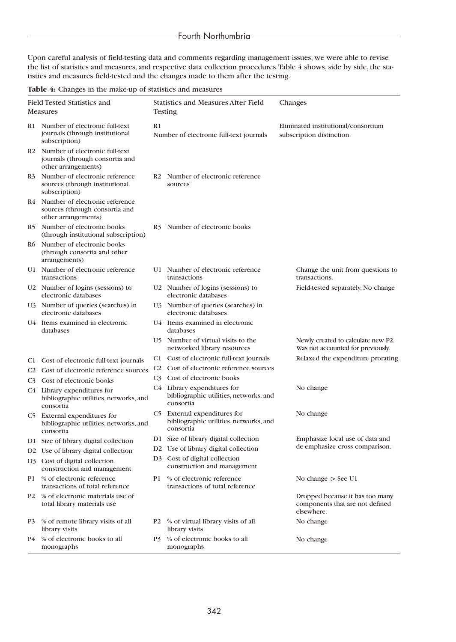Upon careful analysis of field-testing data and comments regarding management issues, we were able to revise the list of statistics and measures, and respective data collection procedures. Table 4 shows, side by side, the statistics and measures field-tested and the changes made to them after the testing.

|  |  |  |  | Table 4: Changes in the make-up of statistics and measures |
|--|--|--|--|------------------------------------------------------------|
|--|--|--|--|------------------------------------------------------------|

| Field Tested Statistics and<br><b>Measures</b> |                                                                                                         |                                               | <b>Statistics and Measures After Field</b><br><b>Testing</b>                        | Changes                                                                          |
|------------------------------------------------|---------------------------------------------------------------------------------------------------------|-----------------------------------------------|-------------------------------------------------------------------------------------|----------------------------------------------------------------------------------|
|                                                | R1 Number of electronic full-text<br>journals (through institutional<br>subscription)                   | R1<br>Number of electronic full-text journals |                                                                                     | Eliminated institutional/consortium<br>subscription distinction.                 |
|                                                | R <sub>2</sub> Number of electronic full-text<br>journals (through consortia and<br>other arrangements) |                                               |                                                                                     |                                                                                  |
| R <sub>3</sub>                                 | Number of electronic reference<br>sources (through institutional<br>subscription)                       |                                               | R <sub>2</sub> Number of electronic reference<br>sources                            |                                                                                  |
|                                                | R4 Number of electronic reference<br>sources (through consortia and<br>other arrangements)              |                                               |                                                                                     |                                                                                  |
|                                                | R5 Number of electronic books<br>(through institutional subscription)                                   |                                               | R3 Number of electronic books                                                       |                                                                                  |
|                                                | R6 Number of electronic books<br>(through consortia and other<br>arrangements)                          |                                               |                                                                                     |                                                                                  |
|                                                | U1 Number of electronic reference<br>transactions                                                       |                                               | U1 Number of electronic reference<br>transactions                                   | Change the unit from questions to<br>transactions.                               |
|                                                | U2 Number of logins (sessions) to<br>electronic databases                                               |                                               | U2 Number of logins (sessions) to<br>electronic databases                           | Field-tested separately. No change                                               |
|                                                | U3 Number of queries (searches) in<br>electronic databases                                              |                                               | U3 Number of queries (searches) in<br>electronic databases                          |                                                                                  |
|                                                | U4 Items examined in electronic<br>databases                                                            |                                               | U4 Items examined in electronic<br>databases                                        |                                                                                  |
|                                                |                                                                                                         |                                               | U5 Number of virtual visits to the<br>networked library resources                   | Newly created to calculate new P2.<br>Was not accounted for previously.          |
| C1 -                                           | Cost of electronic full-text journals                                                                   |                                               | C1 Cost of electronic full-text journals                                            | Relaxed the expenditure prorating.                                               |
| C2                                             | Cost of electronic reference sources                                                                    | C <sub>2</sub>                                | Cost of electronic reference sources                                                |                                                                                  |
| C3                                             | Cost of electronic books                                                                                | C <sub>3</sub>                                | Cost of electronic books                                                            |                                                                                  |
|                                                | C4 Library expenditures for<br>bibliographic utilities, networks, and<br>consortia                      |                                               | C4 Library expenditures for<br>bibliographic utilities, networks, and<br>consortia  | No change                                                                        |
|                                                | C5 External expenditures for<br>bibliographic utilities, networks, and<br>consortia                     |                                               | C5 External expenditures for<br>bibliographic utilities, networks, and<br>consortia | No change                                                                        |
|                                                | D1 Size of library digital collection                                                                   |                                               | D1 Size of library digital collection                                               | Emphasize local use of data and                                                  |
|                                                | D2 Use of library digital collection                                                                    |                                               | D2 Use of library digital collection                                                | de-emphasize cross comparison.                                                   |
|                                                | D3 Cost of digital collection<br>construction and management                                            |                                               | D3 Cost of digital collection<br>construction and management                        |                                                                                  |
| P1                                             | % of electronic reference<br>transactions of total reference                                            | P1                                            | % of electronic reference<br>transactions of total reference                        | No change $\ge$ See U1                                                           |
| P2                                             | % of electronic materials use of<br>total library materials use                                         |                                               |                                                                                     | Dropped because it has too many<br>components that are not defined<br>elsewhere. |
| P3                                             | % of remote library visits of all<br>library visits                                                     |                                               | P2 % of virtual library visits of all<br>library visits                             | No change                                                                        |
| P4                                             | % of electronic books to all<br>monographs                                                              | P3                                            | % of electronic books to all<br>monographs                                          | No change                                                                        |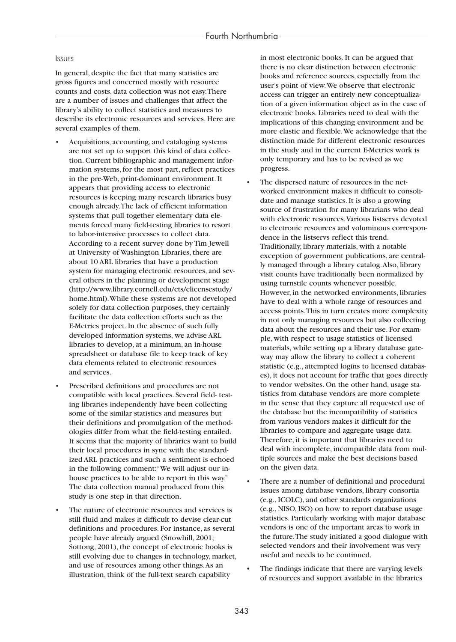### **ISSUES**

In general, despite the fact that many statistics are gross figures and concerned mostly with resource counts and costs, data collection was not easy.There are a number of issues and challenges that affect the library's ability to collect statistics and measures to describe its electronic resources and services. Here are several examples of them.

- Acquisitions, accounting, and cataloging systems are not set up to support this kind of data collection. Current bibliographic and management information systems, for the most part, reflect practices in the pre-Web, print-dominant environment. It appears that providing access to electronic resources is keeping many research libraries busy enough already.The lack of efficient information systems that pull together elementary data elements forced many field-testing libraries to resort to labor-intensive processes to collect data. According to a recent survey done by Tim Jewell at University of Washington Libraries, there are about 10 ARL libraries that have a production system for managing electronic resources, and several others in the planning or development stage (http://www.library.cornell.edu/cts/elicensestudy/ home.html).While these systems are not developed solely for data collection purposes, they certainly facilitate the data collection efforts such as the E-Metrics project. In the absence of such fully developed information systems, we advise ARL libraries to develop, at a minimum, an in-house spreadsheet or database file to keep track of key data elements related to electronic resources and services.
- Prescribed definitions and procedures are not compatible with local practices. Several field- testing libraries independently have been collecting some of the similar statistics and measures but their definitions and promulgation of the methodologies differ from what the field-testing entailed. It seems that the majority of libraries want to build their local procedures in sync with the standardized ARL practices and such a sentiment is echoed in the following comment:"We will adjust our inhouse practices to be able to report in this way." The data collection manual produced from this study is one step in that direction.
- The nature of electronic resources and services is still fluid and makes it difficult to devise clear-cut definitions and procedures. For instance, as several people have already argued (Snowhill, 2001; Sottong, 2001), the concept of electronic books is still evolving due to changes in technology, market, and use of resources among other things.As an illustration, think of the full-text search capability

in most electronic books. It can be argued that there is no clear distinction between electronic books and reference sources, especially from the user's point of view.We observe that electronic access can trigger an entirely new conceptualization of a given information object as in the case of electronic books. Libraries need to deal with the implications of this changing environment and be more elastic and flexible.We acknowledge that the distinction made for different electronic resources in the study and in the current E-Metrics work is only temporary and has to be revised as we progress.

- The dispersed nature of resources in the networked environment makes it difficult to consolidate and manage statistics. It is also a growing source of frustration for many librarians who deal with electronic resources.Various listservs devoted to electronic resources and voluminous correspondence in the listservs reflect this trend. Traditionally, library materials, with a notable exception of government publications, are centrally managed through a library catalog.Also, library visit counts have traditionally been normalized by using turnstile counts whenever possible. However, in the networked environments, libraries have to deal with a whole range of resources and access points.This in turn creates more complexity in not only managing resources but also collecting data about the resources and their use. For example, with respect to usage statistics of licensed materials, while setting up a library database gateway may allow the library to collect a coherent statistic (e.g., attempted logins to licensed databases), it does not account for traffic that goes directly to vendor websites. On the other hand, usage statistics from database vendors are more complete in the sense that they capture all requested use of the database but the incompatibility of statistics from various vendors makes it difficult for the libraries to compare and aggregate usage data. Therefore, it is important that libraries need to deal with incomplete, incompatible data from multiple sources and make the best decisions based on the given data.
- There are a number of definitional and procedural issues among database vendors, library consortia (e.g., ICOLC), and other standards organizations (e.g., NISO, ISO) on how to report database usage statistics. Particularly working with major database vendors is one of the important areas to work in the future.The study initiated a good dialogue with selected vendors and their involvement was very useful and needs to be continued.
- The findings indicate that there are varying levels of resources and support available in the libraries